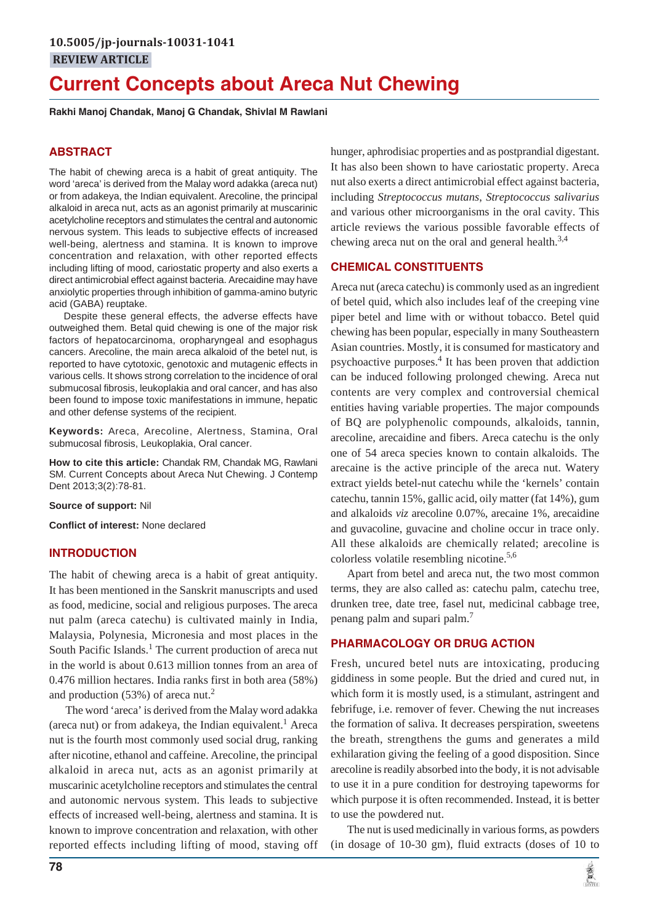# **Current Concepts about Areca Nut Chewing**

**Rakhi Manoj Chandak, Manoj G Chandak, Shivlal M Rawlani**

# **ABSTRACT**

The habit of chewing areca is a habit of great antiquity. The word 'areca' is derived from the Malay word adakka (areca nut) or from adakeya, the Indian equivalent. Arecoline, the principal alkaloid in areca nut, acts as an agonist primarily at muscarinic acetylcholine receptors and stimulates the central and autonomic nervous system. This leads to subjective effects of increased well-being, alertness and stamina. It is known to improve concentration and relaxation, with other reported effects including lifting of mood, cariostatic property and also exerts a direct antimicrobial effect against bacteria. Arecaidine may have anxiolytic properties through inhibition of gamma-amino butyric acid (GABA) reuptake.

Despite these general effects, the adverse effects have outweighed them. Betal quid chewing is one of the major risk factors of hepatocarcinoma, oropharyngeal and esophagus cancers. Arecoline, the main areca alkaloid of the betel nut, is reported to have cytotoxic, genotoxic and mutagenic effects in various cells. It shows strong correlation to the incidence of oral submucosal fibrosis, leukoplakia and oral cancer, and has also been found to impose toxic manifestations in immune, hepatic and other defense systems of the recipient.

**Keywords:** Areca, Arecoline, Alertness, Stamina, Oral submucosal fibrosis, Leukoplakia, Oral cancer.

**How to cite this article:** Chandak RM, Chandak MG, Rawlani SM. Current Concepts about Areca Nut Chewing. J Contemp Dent 2013;3(2):78-81.

**Source of support:** Nil

**Conflict of interest:** None declared

## **INTRODUCTION**

The habit of chewing areca is a habit of great antiquity. It has been mentioned in the Sanskrit manuscripts and used as food, medicine, social and religious purposes. The areca nut palm (areca catechu) is cultivated mainly in India, Malaysia, Polynesia, Micronesia and most places in the South Pacific Islands.<sup>1</sup> The current production of areca nut in the world is about 0.613 million tonnes from an area of 0.476 million hectares. India ranks first in both area (58%) and production  $(53%)$  of areca nut.<sup>2</sup>

The word 'areca' is derived from the Malay word adakka (areca nut) or from adakeya, the Indian equivalent.<sup>1</sup> Areca nut is the fourth most commonly used social drug, ranking after nicotine, ethanol and caffeine. Arecoline, the principal alkaloid in areca nut, acts as an agonist primarily at muscarinic acetylcholine receptors and stimulates the central and autonomic nervous system. This leads to subjective effects of increased well-being, alertness and stamina. It is known to improve concentration and relaxation, with other reported effects including lifting of mood, staving off hunger, aphrodisiac properties and as postprandial digestant. It has also been shown to have cariostatic property. Areca nut also exerts a direct antimicrobial effect against bacteria, including *Streptococcus mutans*, *Streptococcus salivarius* and various other microorganisms in the oral cavity. This article reviews the various possible favorable effects of chewing areca nut on the oral and general health. $3,4$ 

## **CHEMICAL CONSTITUENTS**

Areca nut (areca catechu) is commonly used as an ingredient of betel quid, which also includes leaf of the creeping vine piper betel and lime with or without tobacco. Betel quid chewing has been popular, especially in many Southeastern Asian countries. Mostly, it is consumed for masticatory and psychoactive purposes.<sup>4</sup> It has been proven that addiction can be induced following prolonged chewing. Areca nut contents are very complex and controversial chemical entities having variable properties. The major compounds of BQ are polyphenolic compounds, alkaloids, tannin, arecoline, arecaidine and fibers. Areca catechu is the only one of 54 areca species known to contain alkaloids. The arecaine is the active principle of the areca nut. Watery extract yields betel-nut catechu while the 'kernels' contain catechu, tannin 15%, gallic acid, oily matter (fat 14%), gum and alkaloids *viz* arecoline 0.07%, arecaine 1%, arecaidine and guvacoline, guvacine and choline occur in trace only. All these alkaloids are chemically related; arecoline is colorless volatile resembling nicotine.<sup>5,6</sup>

Apart from betel and areca nut, the two most common terms, they are also called as: catechu palm, catechu tree, drunken tree, date tree, fasel nut, medicinal cabbage tree, penang palm and supari palm.<sup>7</sup>

## **PHARMACOLOGY OR DRUG ACTION**

Fresh, uncured betel nuts are intoxicating, producing giddiness in some people. But the dried and cured nut, in which form it is mostly used, is a stimulant, astringent and febrifuge, i.e. remover of fever. Chewing the nut increases the formation of saliva. It decreases perspiration, sweetens the breath, strengthens the gums and generates a mild exhilaration giving the feeling of a good disposition. Since arecoline is readily absorbed into the body, it is not advisable to use it in a pure condition for destroying tapeworms for which purpose it is often recommended. Instead, it is better to use the powdered nut.

The nut is used medicinally in various forms, as powders (in dosage of 10-30 gm), fluid extracts (doses of 10 to

黨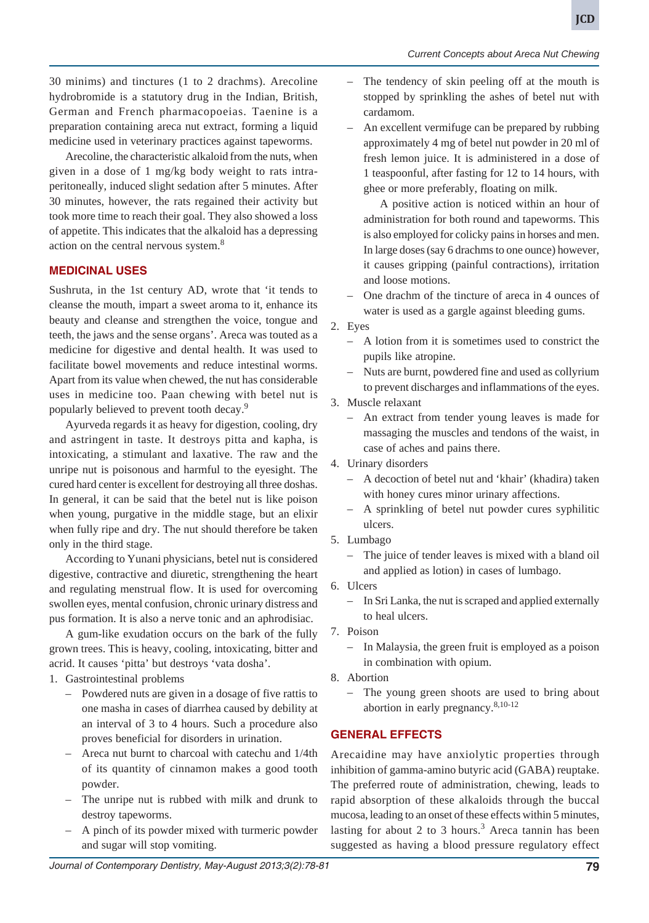**JCD**

Arecoline, the characteristic alkaloid from the nuts, when given in a dose of 1 mg/kg body weight to rats intraperitoneally, induced slight sedation after 5 minutes. After 30 minutes, however, the rats regained their activity but took more time to reach their goal. They also showed a loss of appetite. This indicates that the alkaloid has a depressing action on the central nervous system.<sup>8</sup>

# **MEDICINAL USES**

Sushruta, in the 1st century AD, wrote that 'it tends to cleanse the mouth, impart a sweet aroma to it, enhance its beauty and cleanse and strengthen the voice, tongue and teeth, the jaws and the sense organs'. Areca was touted as a medicine for digestive and dental health. It was used to facilitate bowel movements and reduce intestinal worms. Apart from its value when chewed, the nut has considerable uses in medicine too. Paan chewing with betel nut is popularly believed to prevent tooth decay.9

Ayurveda regards it as heavy for digestion, cooling, dry and astringent in taste. It destroys pitta and kapha, is intoxicating, a stimulant and laxative. The raw and the unripe nut is poisonous and harmful to the eyesight. The cured hard center is excellent for destroying all three doshas. In general, it can be said that the betel nut is like poison when young, purgative in the middle stage, but an elixir when fully ripe and dry. The nut should therefore be taken only in the third stage.

According to Yunani physicians, betel nut is considered digestive, contractive and diuretic, strengthening the heart and regulating menstrual flow. It is used for overcoming swollen eyes, mental confusion, chronic urinary distress and pus formation. It is also a nerve tonic and an aphrodisiac.

A gum-like exudation occurs on the bark of the fully grown trees. This is heavy, cooling, intoxicating, bitter and acrid. It causes 'pitta' but destroys 'vata dosha'.

- 1. Gastrointestinal problems
	- Powdered nuts are given in a dosage of five rattis to one masha in cases of diarrhea caused by debility at an interval of 3 to 4 hours. Such a procedure also proves beneficial for disorders in urination.
	- Areca nut burnt to charcoal with catechu and 1/4th of its quantity of cinnamon makes a good tooth powder.
	- The unripe nut is rubbed with milk and drunk to destroy tapeworms.
	- A pinch of its powder mixed with turmeric powder and sugar will stop vomiting.

– The tendency of skin peeling off at the mouth is stopped by sprinkling the ashes of betel nut with cardamom.

*Current Concepts about Areca Nut Chewing*

– An excellent vermifuge can be prepared by rubbing approximately 4 mg of betel nut powder in 20 ml of fresh lemon juice. It is administered in a dose of 1 teaspoonful, after fasting for 12 to 14 hours, with ghee or more preferably, floating on milk.

A positive action is noticed within an hour of administration for both round and tapeworms. This is also employed for colicky pains in horses and men. In large doses (say 6 drachms to one ounce) however, it causes gripping (painful contractions), irritation and loose motions.

- One drachm of the tincture of areca in 4 ounces of water is used as a gargle against bleeding gums.
- 2. Eyes
	- A lotion from it is sometimes used to constrict the pupils like atropine.
	- Nuts are burnt, powdered fine and used as collyrium to prevent discharges and inflammations of the eyes.
- 3. Muscle relaxant
	- An extract from tender young leaves is made for massaging the muscles and tendons of the waist, in case of aches and pains there.
- 4. Urinary disorders
	- A decoction of betel nut and 'khair' (khadira) taken with honey cures minor urinary affections.
	- A sprinkling of betel nut powder cures syphilitic ulcers.
- 5. Lumbago
	- The juice of tender leaves is mixed with a bland oil and applied as lotion) in cases of lumbago.
- 6. Ulcers
	- In Sri Lanka, the nut is scraped and applied externally to heal ulcers.
- 7. Poison
	- In Malaysia, the green fruit is employed as a poison in combination with opium.
- 8. Abortion
	- The young green shoots are used to bring about abortion in early pregnancy.8,10-12

# **GENERAL EFFECTS**

Arecaidine may have anxiolytic properties through inhibition of gamma-amino butyric acid (GABA) reuptake. The preferred route of administration, chewing, leads to rapid absorption of these alkaloids through the buccal mucosa, leading to an onset of these effects within 5 minutes, lasting for about 2 to 3 hours.<sup>3</sup> Areca tannin has been suggested as having a blood pressure regulatory effect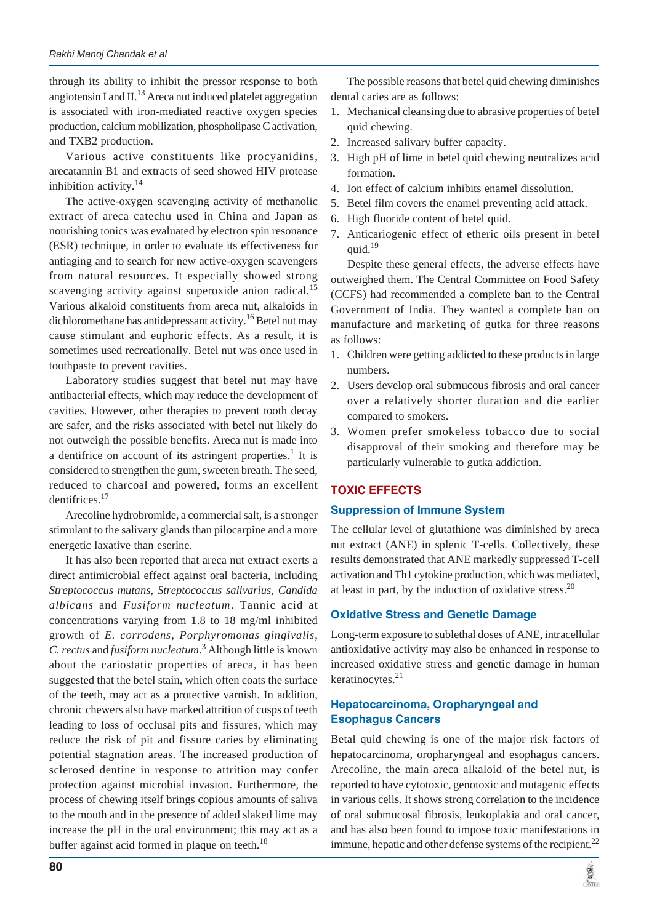through its ability to inhibit the pressor response to both angiotensin I and  $II$ .<sup>13</sup> Areca nut induced platelet aggregation is associated with iron-mediated reactive oxygen species production, calcium mobilization, phospholipase C activation, and TXB2 production.

Various active constituents like procyanidins, arecatannin B1 and extracts of seed showed HIV protease inhibition activity.<sup>14</sup>

The active-oxygen scavenging activity of methanolic extract of areca catechu used in China and Japan as nourishing tonics was evaluated by electron spin resonance (ESR) technique, in order to evaluate its effectiveness for antiaging and to search for new active-oxygen scavengers from natural resources. It especially showed strong scavenging activity against superoxide anion radical.<sup>15</sup> Various alkaloid constituents from areca nut, alkaloids in dichloromethane has antidepressant activity.<sup>16</sup> Betel nut may cause stimulant and euphoric effects. As a result, it is sometimes used recreationally. Betel nut was once used in toothpaste to prevent cavities.

Laboratory studies suggest that betel nut may have antibacterial effects, which may reduce the development of cavities. However, other therapies to prevent tooth decay are safer, and the risks associated with betel nut likely do not outweigh the possible benefits. Areca nut is made into a dentifrice on account of its astringent properties.<sup>1</sup> It is considered to strengthen the gum, sweeten breath. The seed, reduced to charcoal and powered, forms an excellent dentifrices.<sup>17</sup>

Arecoline hydrobromide, a commercial salt, is a stronger stimulant to the salivary glands than pilocarpine and a more energetic laxative than eserine.

It has also been reported that areca nut extract exerts a direct antimicrobial effect against oral bacteria, including *Streptococcus mutans*, *Streptococcus salivarius*, *Candida albicans* and *Fusiform nucleatum*. Tannic acid at concentrations varying from 1.8 to 18 mg/ml inhibited growth of *E. corrodens*, *Porphyromonas gingivalis*, *C. rectus* and *fusiform nucleatum*. 3 Although little is known about the cariostatic properties of areca, it has been suggested that the betel stain, which often coats the surface of the teeth, may act as a protective varnish. In addition, chronic chewers also have marked attrition of cusps of teeth leading to loss of occlusal pits and fissures, which may reduce the risk of pit and fissure caries by eliminating potential stagnation areas. The increased production of sclerosed dentine in response to attrition may confer protection against microbial invasion. Furthermore, the process of chewing itself brings copious amounts of saliva to the mouth and in the presence of added slaked lime may increase the pH in the oral environment; this may act as a buffer against acid formed in plaque on teeth.<sup>18</sup>

The possible reasons that betel quid chewing diminishes dental caries are as follows:

- 1. Mechanical cleansing due to abrasive properties of betel quid chewing.
- 2. Increased salivary buffer capacity.
- 3. High pH of lime in betel quid chewing neutralizes acid formation.
- 4. Ion effect of calcium inhibits enamel dissolution.
- 5. Betel film covers the enamel preventing acid attack.
- 6. High fluoride content of betel quid.
- 7. Anticariogenic effect of etheric oils present in betel quid. $19$

Despite these general effects, the adverse effects have outweighed them. The Central Committee on Food Safety (CCFS) had recommended a complete ban to the Central Government of India. They wanted a complete ban on manufacture and marketing of gutka for three reasons as follows:

- 1. Children were getting addicted to these products in large numbers.
- 2. Users develop oral submucous fibrosis and oral cancer over a relatively shorter duration and die earlier compared to smokers.
- 3. Women prefer smokeless tobacco due to social disapproval of their smoking and therefore may be particularly vulnerable to gutka addiction.

# **TOXIC EFFECTS**

#### **Suppression of Immune System**

The cellular level of glutathione was diminished by areca nut extract (ANE) in splenic T-cells. Collectively, these results demonstrated that ANE markedly suppressed T-cell activation and Th1 cytokine production, which was mediated, at least in part, by the induction of oxidative stress. $^{20}$ 

## **Oxidative Stress and Genetic Damage**

Long-term exposure to sublethal doses of ANE, intracellular antioxidative activity may also be enhanced in response to increased oxidative stress and genetic damage in human keratinocytes. $21$ 

## **Hepatocarcinoma, Oropharyngeal and Esophagus Cancers**

Betal quid chewing is one of the major risk factors of hepatocarcinoma, oropharyngeal and esophagus cancers. Arecoline, the main areca alkaloid of the betel nut, is reported to have cytotoxic, genotoxic and mutagenic effects in various cells. It shows strong correlation to the incidence of oral submucosal fibrosis, leukoplakia and oral cancer, and has also been found to impose toxic manifestations in immune, hepatic and other defense systems of the recipient. $^{22}$ 

黨